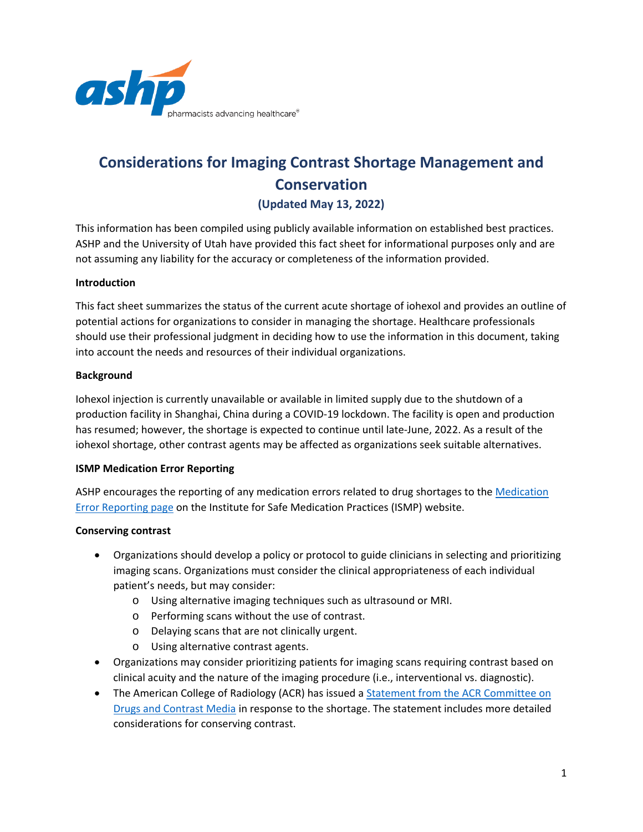

# **Considerations for Imaging Contrast Shortage Management and Conservation (Updated May 13, 2022)**

This information has been compiled using publicly available information on established best practices. ASHP and the University of Utah have provided this fact sheet for informational purposes only and are not assuming any liability for the accuracy or completeness of the information provided.

#### **Introduction**

This fact sheet summarizes the status of the current acute shortage of iohexol and provides an outline of potential actions for organizations to consider in managing the shortage. Healthcare professionals should use their professional judgment in deciding how to use the information in this document, taking into account the needs and resources of their individual organizations.

# **Background**

Iohexol injection is currently unavailable or available in limited supply due to the shutdown of a production facility in Shanghai, China during a COVID-19 lockdown. The facility is open and production has resumed; however, the shortage is expected to continue until late-June, 2022. As a result of the iohexol shortage, other contrast agents may be affected as organizations seek suitable alternatives.

#### **ISMP Medication Error Reporting**

ASHP encourages the reporting of any medication errors related to drug shortages to the [Medication](https://www.ismp.org/report-medication-error)  [Error Reporting page](https://www.ismp.org/report-medication-error) on the Institute for Safe Medication Practices (ISMP) website.

#### **Conserving contrast**

- Organizations should develop a policy or protocol to guide clinicians in selecting and prioritizing imaging scans. Organizations must consider the clinical appropriateness of each individual patient's needs, but may consider:
	- o Using alternative imaging techniques such as ultrasound or MRI.
	- o Performing scans without the use of contrast.
	- o Delaying scans that are not clinically urgent.
	- o Using alternative contrast agents.
- Organizations may consider prioritizing patients for imaging scans requiring contrast based on clinical acuity and the nature of the imaging procedure (i.e., interventional vs. diagnostic).
- The American College of Radiology (ACR) has issued a **Statement from the ACR** Committee on [Drugs and Contrast Media](https://www.acr.org/Advocacy-and-Economics/ACR-Position-Statements/Contrast-Media-Shortage) in response to the shortage. The statement includes more detailed considerations for conserving contrast.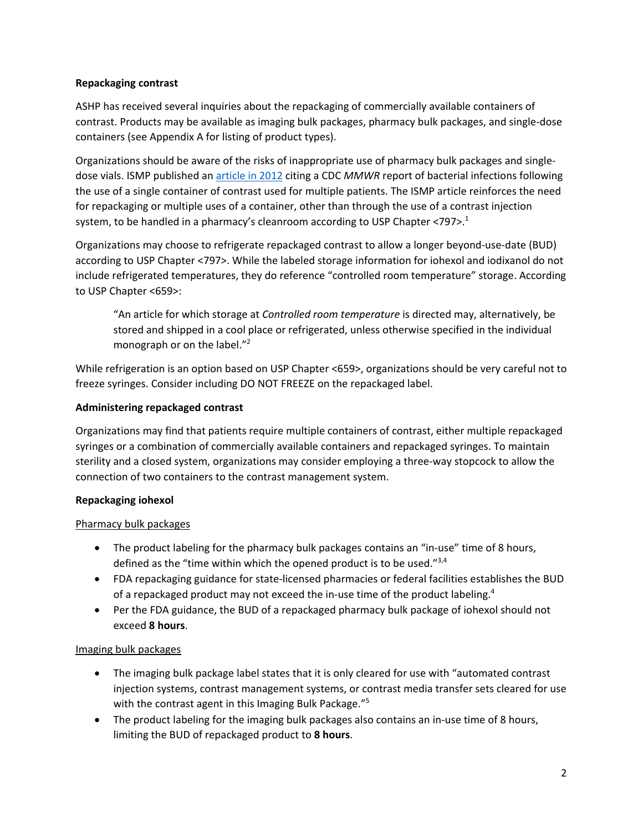# **Repackaging contrast**

ASHP has received several inquiries about the repackaging of commercially available containers of contrast. Products may be available as imaging bulk packages, pharmacy bulk packages, and single-dose containers (see Appendix A for listing of product types).

Organizations should be aware of the risks of inappropriate use of pharmacy bulk packages and singledose vials. ISMP published an [article in 2012](https://www.ismp.org/resources/inappropriate-use-pharmacy-bulk-packages-iv-contrast-media-increases-risk-infections) citing a CDC *MMWR* report of bacterial infections following the use of a single container of contrast used for multiple patients. The ISMP article reinforces the need for repackaging or multiple uses of a container, other than through the use of a contrast injection system, to be handled in a pharmacy's cleanroom according to USP Chapter  $\langle797\rangle$ <sup>1</sup>.

Organizations may choose to refrigerate repackaged contrast to allow a longer beyond-use-date (BUD) according to USP Chapter <797>. While the labeled storage information for iohexol and iodixanol do not include refrigerated temperatures, they do reference "controlled room temperature" storage. According to USP Chapter <659>:

"An article for which storage at *Controlled room temperature* is directed may, alternatively, be stored and shipped in a cool place or refrigerated, unless otherwise specified in the individual monograph or on the label."<sup>2</sup>

While refrigeration is an option based on USP Chapter <659>, organizations should be very careful not to freeze syringes. Consider including DO NOT FREEZE on the repackaged label.

# **Administering repackaged contrast**

Organizations may find that patients require multiple containers of contrast, either multiple repackaged syringes or a combination of commercially available containers and repackaged syringes. To maintain sterility and a closed system, organizations may consider employing a three-way stopcock to allow the connection of two containers to the contrast management system.

# **Repackaging iohexol**

#### Pharmacy bulk packages

- The product labeling for the pharmacy bulk packages contains an "in-use" time of 8 hours, defined as the "time within which the opened product is to be used."<sup>3,4</sup>
- FDA repackaging guidance for state-licensed pharmacies or federal facilities establishes the BUD of a repackaged product may not exceed the in-use time of the product labeling.<sup>4</sup>
- Per the FDA guidance, the BUD of a repackaged pharmacy bulk package of iohexol should not exceed **8 hours**.

#### Imaging bulk packages

- The imaging bulk package label states that it is only cleared for use with "automated contrast injection systems, contrast management systems, or contrast media transfer sets cleared for use with the contrast agent in this Imaging Bulk Package."<sup>5</sup>
- The product labeling for the imaging bulk packages also contains an in-use time of 8 hours, limiting the BUD of repackaged product to **8 hours**.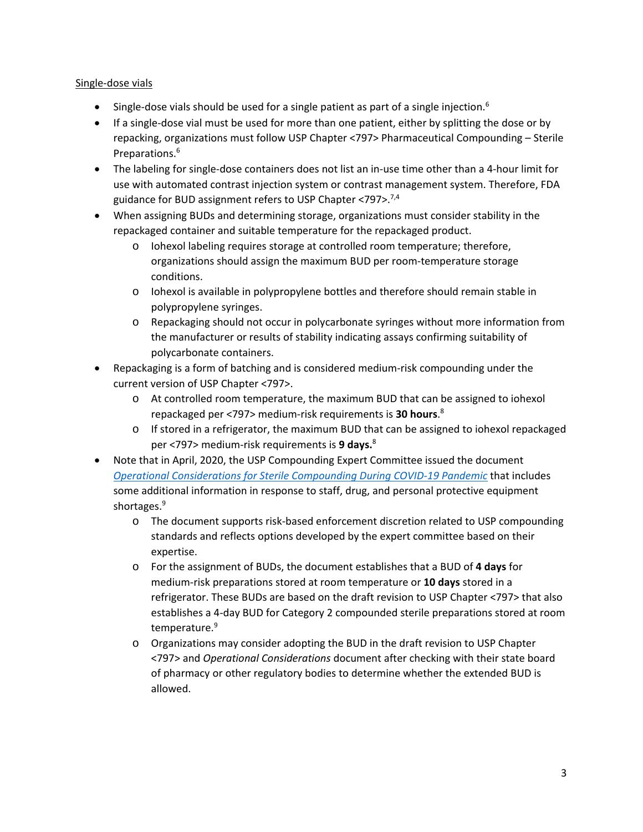### Single-dose vials

- Single-dose vials should be used for a single patient as part of a single injection.<sup>6</sup>
- If a single-dose vial must be used for more than one patient, either by splitting the dose or by repacking, organizations must follow USP Chapter <797> Pharmaceutical Compounding – Sterile Preparations.6
- The labeling for single-dose containers does not list an in-use time other than a 4-hour limit for use with automated contrast injection system or contrast management system. Therefore, FDA guidance for BUD assignment refers to USP Chapter <797>.7,4
- When assigning BUDs and determining storage, organizations must consider stability in the repackaged container and suitable temperature for the repackaged product.
	- o Iohexol labeling requires storage at controlled room temperature; therefore, organizations should assign the maximum BUD per room-temperature storage conditions.
	- o Iohexol is available in polypropylene bottles and therefore should remain stable in polypropylene syringes.
	- o Repackaging should not occur in polycarbonate syringes without more information from the manufacturer or results of stability indicating assays confirming suitability of polycarbonate containers.
- Repackaging is a form of batching and is considered medium-risk compounding under the current version of USP Chapter <797>.
	- o At controlled room temperature, the maximum BUD that can be assigned to iohexol repackaged per <797> medium-risk requirements is **30 hours**. 8
	- o If stored in a refrigerator, the maximum BUD that can be assigned to iohexol repackaged per <797> medium-risk requirements is **9 days.**<sup>8</sup>
- Note that in April, 2020, the USP Compounding Expert Committee issued the document *[Operational Considerations for Sterile Compounding During COVID-19 Pandemic](https://go.usp.org/l/323321/2020-04-11/345w2b)* that includes some additional information in response to staff, drug, and personal protective equipment shortages. 9
	- o The document supports risk-based enforcement discretion related to USP compounding standards and reflects options developed by the expert committee based on their expertise.
	- o For the assignment of BUDs, the document establishes that a BUD of **4 days** for medium-risk preparations stored at room temperature or **10 days** stored in a refrigerator. These BUDs are based on the draft revision to USP Chapter <797> that also establishes a 4-day BUD for Category 2 compounded sterile preparations stored at room temperature.9
	- o Organizations may consider adopting the BUD in the draft revision to USP Chapter <797> and *Operational Considerations* document after checking with their state board of pharmacy or other regulatory bodies to determine whether the extended BUD is allowed.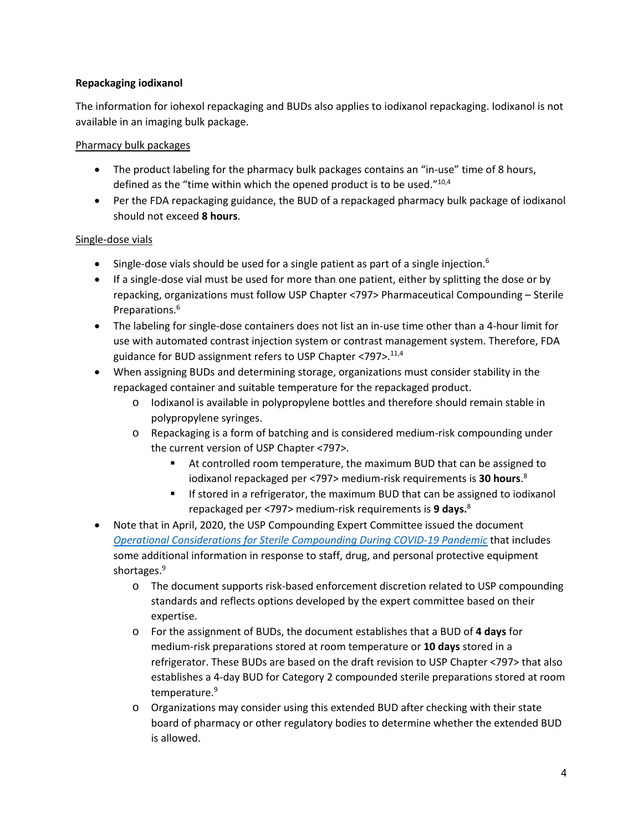# **Repackaging iodixanol**

The information for iohexol repackaging and BUDs also applies to iodixanol repackaging. Iodixanol is not available in an imaging bulk package.

### Pharmacy bulk packages

- The product labeling for the pharmacy bulk packages contains an "in-use" time of 8 hours, defined as the "time within which the opened product is to be used."<sup>10,4</sup>
- Per the FDA repackaging guidance, the BUD of a repackaged pharmacy bulk package of iodixanol should not exceed **8 hours**.

# Single-dose vials

- Single-dose vials should be used for a single patient as part of a single injection.<sup>6</sup>
- If a single-dose vial must be used for more than one patient, either by splitting the dose or by repacking, organizations must follow USP Chapter <797> Pharmaceutical Compounding – Sterile Preparations.6
- The labeling for single-dose containers does not list an in-use time other than a 4-hour limit for use with automated contrast injection system or contrast management system. Therefore, FDA guidance for BUD assignment refers to USP Chapter <797>.<sup>11,4</sup>
- When assigning BUDs and determining storage, organizations must consider stability in the repackaged container and suitable temperature for the repackaged product.
	- o Iodixanol is available in polypropylene bottles and therefore should remain stable in polypropylene syringes.
	- o Repackaging is a form of batching and is considered medium-risk compounding under the current version of USP Chapter <797>.
		- At controlled room temperature, the maximum BUD that can be assigned to iodixanol repackaged per <797> medium-risk requirements is **30 hours**. 8
		- If stored in a refrigerator, the maximum BUD that can be assigned to iodixanol repackaged per <797> medium-risk requirements is **9 days.**<sup>8</sup>
- Note that in April, 2020, the USP Compounding Expert Committee issued the document *[Operational Considerations for Sterile Compounding During COVID-19 Pandemic](https://go.usp.org/l/323321/2020-04-11/345w2b)* that includes some additional information in response to staff, drug, and personal protective equipment shortages.<sup>9</sup>
	- o The document supports risk-based enforcement discretion related to USP compounding standards and reflects options developed by the expert committee based on their expertise.
	- o For the assignment of BUDs, the document establishes that a BUD of **4 days** for medium-risk preparations stored at room temperature or **10 days** stored in a refrigerator. These BUDs are based on the draft revision to USP Chapter <797> that also establishes a 4-day BUD for Category 2 compounded sterile preparations stored at room temperature.9
	- o Organizations may consider using this extended BUD after checking with their state board of pharmacy or other regulatory bodies to determine whether the extended BUD is allowed.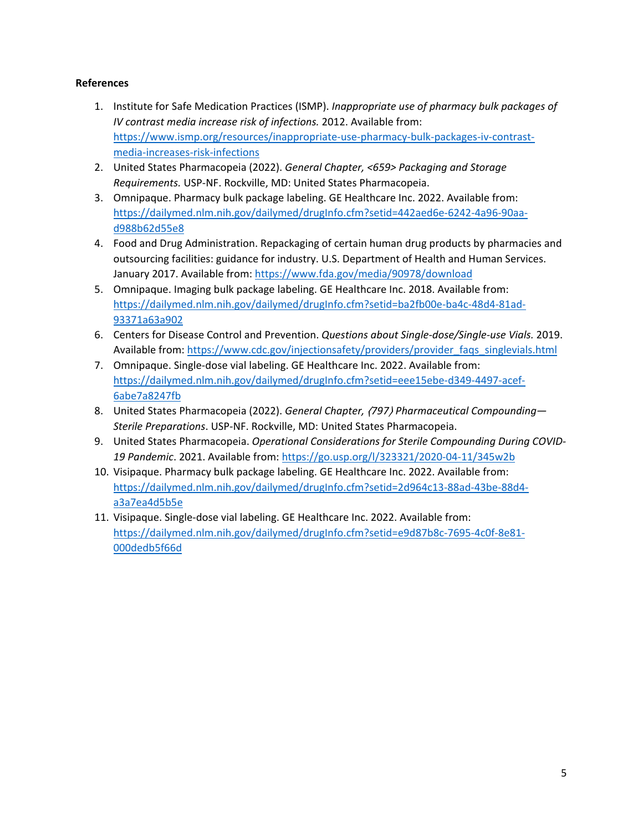# **References**

- 1. Institute for Safe Medication Practices (ISMP). *Inappropriate use of pharmacy bulk packages of IV contrast media increase risk of infections.* 2012. Available from: [https://www.ismp.org/resources/inappropriate-use-pharmacy-bulk-packages-iv-contrast](https://www.ismp.org/resources/inappropriate-use-pharmacy-bulk-packages-iv-contrast-media-increases-risk-infections)[media-increases-risk-infections](https://www.ismp.org/resources/inappropriate-use-pharmacy-bulk-packages-iv-contrast-media-increases-risk-infections)
- 2. United States Pharmacopeia (2022). *General Chapter, <659> Packaging and Storage Requirements.* USP-NF. Rockville, MD: United States Pharmacopeia.
- 3. Omnipaque. Pharmacy bulk package labeling. GE Healthcare Inc. 2022. Available from: [https://dailymed.nlm.nih.gov/dailymed/drugInfo.cfm?setid=442aed6e-6242-4a96-90aa](https://dailymed.nlm.nih.gov/dailymed/drugInfo.cfm?setid=442aed6e-6242-4a96-90aa-d988b62d55e8)[d988b62d55e8](https://dailymed.nlm.nih.gov/dailymed/drugInfo.cfm?setid=442aed6e-6242-4a96-90aa-d988b62d55e8)
- 4. Food and Drug Administration. Repackaging of certain human drug products by pharmacies and outsourcing facilities: guidance for industry. U.S. Department of Health and Human Services. January 2017. Available from:<https://www.fda.gov/media/90978/download>
- 5. Omnipaque. Imaging bulk package labeling. GE Healthcare Inc. 2018. Available from: [https://dailymed.nlm.nih.gov/dailymed/drugInfo.cfm?setid=ba2fb00e-ba4c-48d4-81ad-](https://dailymed.nlm.nih.gov/dailymed/drugInfo.cfm?setid=ba2fb00e-ba4c-48d4-81ad-93371a63a902)[93371a63a902](https://dailymed.nlm.nih.gov/dailymed/drugInfo.cfm?setid=ba2fb00e-ba4c-48d4-81ad-93371a63a902)
- 6. Centers for Disease Control and Prevention. *Questions about Single-dose/Single-use Vials.* 2019. Available from: [https://www.cdc.gov/injectionsafety/providers/provider\\_faqs\\_singlevials.html](https://www.cdc.gov/injectionsafety/providers/provider_faqs_singlevials.html)
- 7. Omnipaque. Single-dose vial labeling. GE Healthcare Inc. 2022. Available from: [https://dailymed.nlm.nih.gov/dailymed/drugInfo.cfm?setid=eee15ebe-d349-4497-acef-](https://dailymed.nlm.nih.gov/dailymed/drugInfo.cfm?setid=eee15ebe-d349-4497-acef-6abe7a8247fb)[6abe7a8247fb](https://dailymed.nlm.nih.gov/dailymed/drugInfo.cfm?setid=eee15ebe-d349-4497-acef-6abe7a8247fb)
- 8. United States Pharmacopeia (2022). *General Chapter,* 〈*797*〉 *Pharmaceutical Compounding— Sterile Preparations*. USP-NF. Rockville, MD: United States Pharmacopeia.
- 9. United States Pharmacopeia. *Operational Considerations for Sterile Compounding During COVID-19 Pandemic*. 2021. Available from:<https://go.usp.org/l/323321/2020-04-11/345w2b>
- 10. Visipaque. Pharmacy bulk package labeling. GE Healthcare Inc. 2022. Available from: [https://dailymed.nlm.nih.gov/dailymed/drugInfo.cfm?setid=2d964c13-88ad-43be-88d4](https://dailymed.nlm.nih.gov/dailymed/drugInfo.cfm?setid=2d964c13-88ad-43be-88d4-a3a7ea4d5b5e) [a3a7ea4d5b5e](https://dailymed.nlm.nih.gov/dailymed/drugInfo.cfm?setid=2d964c13-88ad-43be-88d4-a3a7ea4d5b5e)
- 11. Visipaque. Single-dose vial labeling. GE Healthcare Inc. 2022. Available from: [https://dailymed.nlm.nih.gov/dailymed/drugInfo.cfm?setid=e9d87b8c-7695-4c0f-8e81-](https://dailymed.nlm.nih.gov/dailymed/drugInfo.cfm?setid=e9d87b8c-7695-4c0f-8e81-000dedb5f66d) [000dedb5f66d](https://dailymed.nlm.nih.gov/dailymed/drugInfo.cfm?setid=e9d87b8c-7695-4c0f-8e81-000dedb5f66d)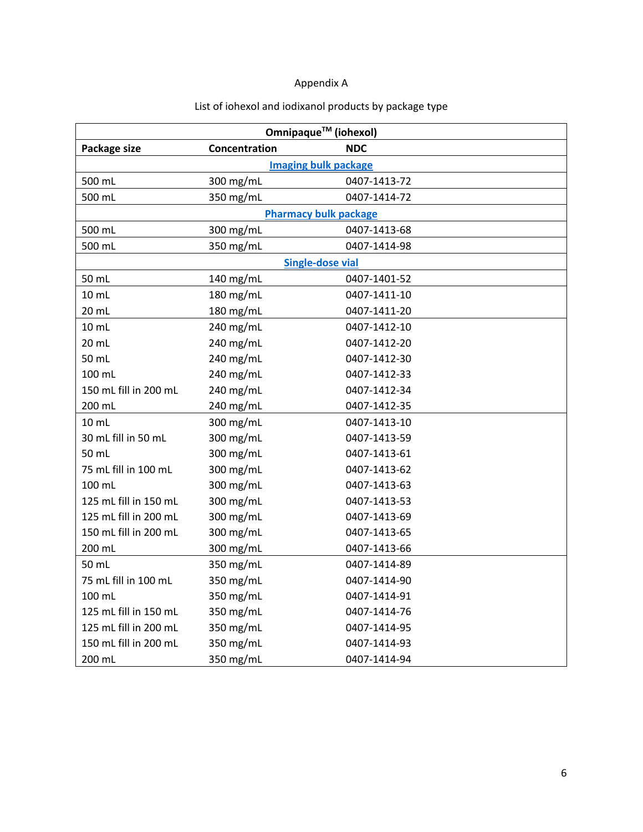# Appendix A

| Omnipaque™ (iohexol)         |               |              |  |
|------------------------------|---------------|--------------|--|
| Package size                 | Concentration | <b>NDC</b>   |  |
| <b>Imaging bulk package</b>  |               |              |  |
| 500 mL                       | 300 mg/mL     | 0407-1413-72 |  |
| 500 mL                       | 350 mg/mL     | 0407-1414-72 |  |
| <b>Pharmacy bulk package</b> |               |              |  |
| 500 mL                       | 300 mg/mL     | 0407-1413-68 |  |
| 500 mL                       | 350 mg/mL     | 0407-1414-98 |  |
| <b>Single-dose vial</b>      |               |              |  |
| 50 mL                        | 140 mg/mL     | 0407-1401-52 |  |
| $10 \mathrm{m}$              | 180 mg/mL     | 0407-1411-10 |  |
| 20 mL                        | 180 mg/mL     | 0407-1411-20 |  |
| $10 \mathrm{m}$ L            | 240 mg/mL     | 0407-1412-10 |  |
| 20 mL                        | 240 mg/mL     | 0407-1412-20 |  |
| 50 mL                        | 240 mg/mL     | 0407-1412-30 |  |
| 100 mL                       | 240 mg/mL     | 0407-1412-33 |  |
| 150 mL fill in 200 mL        | 240 mg/mL     | 0407-1412-34 |  |
| 200 mL                       | 240 mg/mL     | 0407-1412-35 |  |
| $10$ mL                      | 300 mg/mL     | 0407-1413-10 |  |
| 30 mL fill in 50 mL          | 300 mg/mL     | 0407-1413-59 |  |
| 50 mL                        | 300 mg/mL     | 0407-1413-61 |  |
| 75 mL fill in 100 mL         | 300 mg/mL     | 0407-1413-62 |  |
| 100 mL                       | 300 mg/mL     | 0407-1413-63 |  |
| 125 mL fill in 150 mL        | 300 mg/mL     | 0407-1413-53 |  |
| 125 mL fill in 200 mL        | 300 mg/mL     | 0407-1413-69 |  |
| 150 mL fill in 200 mL        | 300 mg/mL     | 0407-1413-65 |  |
| 200 mL                       | 300 mg/mL     | 0407-1413-66 |  |
| 50 mL                        | 350 mg/mL     | 0407-1414-89 |  |
| 75 mL fill in 100 mL         | 350 mg/mL     | 0407-1414-90 |  |
| 100 mL                       | 350 mg/mL     | 0407-1414-91 |  |
| 125 mL fill in 150 mL        | 350 mg/mL     | 0407-1414-76 |  |
| 125 mL fill in 200 mL        | 350 mg/mL     | 0407-1414-95 |  |
| 150 mL fill in 200 mL        | 350 mg/mL     | 0407-1414-93 |  |
| 200 mL                       | 350 mg/mL     | 0407-1414-94 |  |